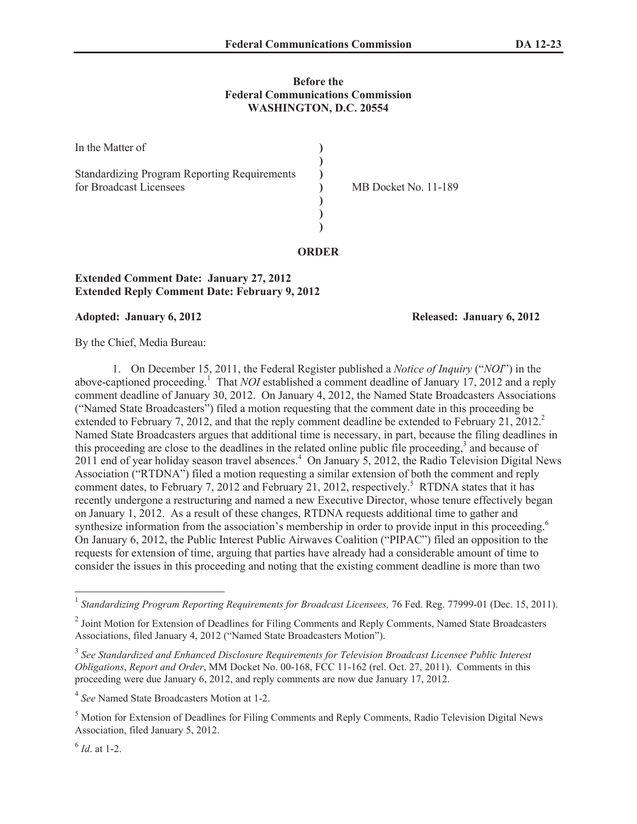## **Before the Federal Communications Commission WASHINGTON, D.C. 20554**

**ORDER**

| In the Matter of                                                               |                      |
|--------------------------------------------------------------------------------|----------------------|
| <b>Standardizing Program Reporting Requirements</b><br>for Broadcast Licensees | MB Docket No. 11-189 |

## **Extended Comment Date: January 27, 2012 Extended Reply Comment Date: February 9, 2012**

## **Adopted: January 6, 2012 Released: January 6, 2012**

By the Chief, Media Bureau:

1. On December 15, 2011, the Federal Register published a *Notice of Inquiry* ("*NOI*") in the above-captioned proceeding. <sup>1</sup> That *NOI* established a comment deadline of January 17, 2012 and a reply comment deadline of January 30, 2012. On January 4, 2012, the Named State Broadcasters Associations ("Named State Broadcasters") filed a motion requesting that the comment date in this proceeding be extended to February 7, 2012, and that the reply comment deadline be extended to February 21, 2012. Named State Broadcasters argues that additional time is necessary, in part, because the filing deadlines in this proceeding are close to the deadlines in the related online public file proceeding,<sup>3</sup> and because of 2011 end of year holiday season travel absences.<sup>4</sup> On January 5, 2012, the Radio Television Digital News Association ("RTDNA") filed a motion requesting a similar extension of both the comment and reply comment dates, to February 7, 2012 and February 21, 2012, respectively.<sup>5</sup> RTDNA states that it has recently undergone a restructuring and named a new Executive Director, whose tenure effectively began on January 1, 2012. As a result of these changes, RTDNA requests additional time to gather and synthesize information from the association's membership in order to provide input in this proceeding.<sup>6</sup> On January 6, 2012, the Public Interest Public Airwaves Coalition ("PIPAC") filed an opposition to the requests for extension of time, arguing that parties have already had a considerable amount of time to consider the issues in this proceeding and noting that the existing comment deadline is more than two

6 *Id*. at 1-2.

<sup>&</sup>lt;sup>1</sup> Standardizing Program Reporting Requirements for Broadcast Licensees, 76 Fed. Reg. 77999-01 (Dec. 15, 2011).

<sup>&</sup>lt;sup>2</sup> Joint Motion for Extension of Deadlines for Filing Comments and Reply Comments, Named State Broadcasters Associations, filed January 4, 2012 ("Named State Broadcasters Motion").

<sup>&</sup>lt;sup>3</sup> See Standardized and Enhanced Disclosure Requirements for Television Broadcast Licensee Public Interest *Obligations*, *Report and Order*, MM Docket No. 00-168, FCC 11-162 (rel. Oct. 27, 2011). Comments in this proceeding were due January 6, 2012, and reply comments are now due January 17, 2012.

<sup>4</sup> *See* Named State Broadcasters Motion at 1-2.

<sup>5</sup> Motion for Extension of Deadlines for Filing Comments and Reply Comments, Radio Television Digital News Association, filed January 5, 2012.